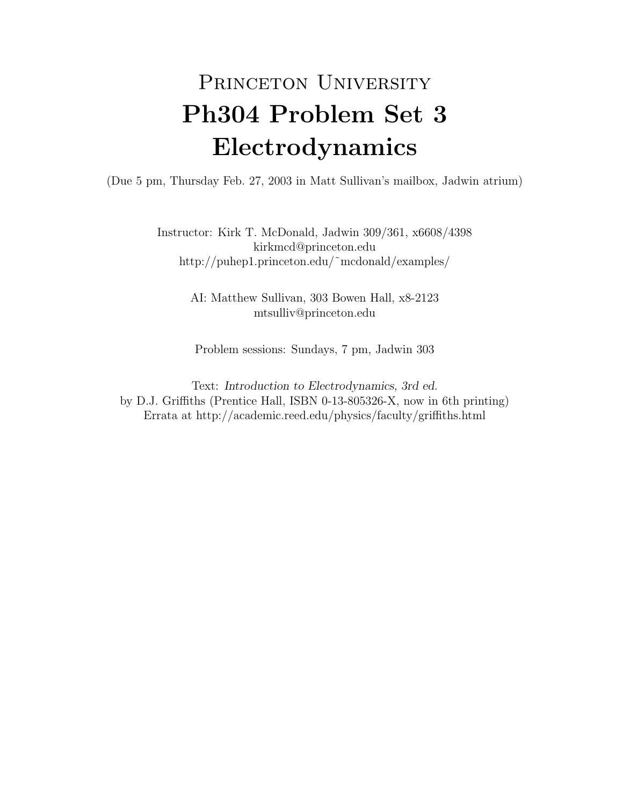## PRINCETON UNIVERSITY Ph304 Problem Set 3 Electrodynamics

(Due 5 pm, Thursday Feb. 27, 2003 in Matt Sullivan's mailbox, Jadwin atrium)

Instructor: Kirk T. McDonald, Jadwin 309/361, x6608/4398 kirkmcd@princeton.edu http://puhep1.princeton.edu/˜mcdonald/examples/

> AI: Matthew Sullivan, 303 Bowen Hall, x8-2123 mtsulliv@princeton.edu

Problem sessions: Sundays, 7 pm, Jadwin 303

Text: Introduction to Electrodynamics, 3rd ed. by D.J. Griffiths (Prentice Hall, ISBN 0-13-805326-X, now in 6th printing) Errata at http://academic.reed.edu/physics/faculty/griffiths.html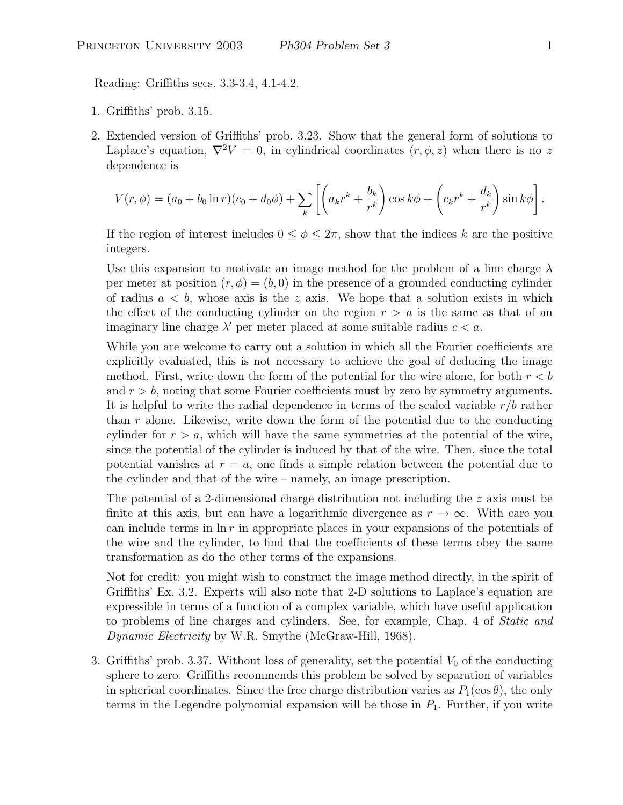Reading: Griffiths secs. 3.3-3.4, 4.1-4.2.

- 1. Griffiths' prob. 3.15.
- 2. Extended version of Griffiths' prob. 3.23. Show that the general form of solutions to Laplace's equation,  $\nabla^2 V = 0$ , in cylindrical coordinates  $(r, \phi, z)$  when there is no z dependence is

$$
V(r,\phi) = (a_0 + b_0 \ln r)(c_0 + d_0 \phi) + \sum_k \left[ \left( a_k r^k + \frac{b_k}{r^k} \right) \cos k\phi + \left( c_k r^k + \frac{d_k}{r^k} \right) \sin k\phi \right].
$$

If the region of interest includes  $0 \leq \phi \leq 2\pi$ , show that the indices k are the positive integers.

Use this expansion to motivate an image method for the problem of a line charge  $\lambda$ per meter at position  $(r, \phi) = (b, 0)$  in the presence of a grounded conducting cylinder of radius  $a < b$ , whose axis is the z axis. We hope that a solution exists in which the effect of the conducting cylinder on the region  $r > a$  is the same as that of an imaginary line charge  $\lambda'$  per meter placed at some suitable radius  $c < a$ .

While you are welcome to carry out a solution in which all the Fourier coefficients are explicitly evaluated, this is not necessary to achieve the goal of deducing the image method. First, write down the form of the potential for the wire alone, for both  $r < b$ and  $r > b$ , noting that some Fourier coefficients must by zero by symmetry arguments. It is helpful to write the radial dependence in terms of the scaled variable  $r/b$  rather than  $r$  alone. Likewise, write down the form of the potential due to the conducting cylinder for  $r > a$ , which will have the same symmetries at the potential of the wire, since the potential of the cylinder is induced by that of the wire. Then, since the total potential vanishes at  $r = a$ , one finds a simple relation between the potential due to the cylinder and that of the wire – namely, an image prescription.

The potential of a 2-dimensional charge distribution not including the  $z$  axis must be finite at this axis, but can have a logarithmic divergence as  $r \to \infty$ . With care you can include terms in  $\ln r$  in appropriate places in your expansions of the potentials of the wire and the cylinder, to find that the coefficients of these terms obey the same transformation as do the other terms of the expansions.

Not for credit: you might wish to construct the image method directly, in the spirit of Griffiths' Ex. 3.2. Experts will also note that 2-D solutions to Laplace's equation are expressible in terms of a function of a complex variable, which have useful application to problems of line charges and cylinders. See, for example, Chap. 4 of Static and Dynamic Electricity by W.R. Smythe (McGraw-Hill, 1968).

3. Griffiths' prob. 3.37. Without loss of generality, set the potential  $V_0$  of the conducting sphere to zero. Griffiths recommends this problem be solved by separation of variables in spherical coordinates. Since the free charge distribution varies as  $P_1(\cos \theta)$ , the only terms in the Legendre polynomial expansion will be those in  $P_1$ . Further, if you write